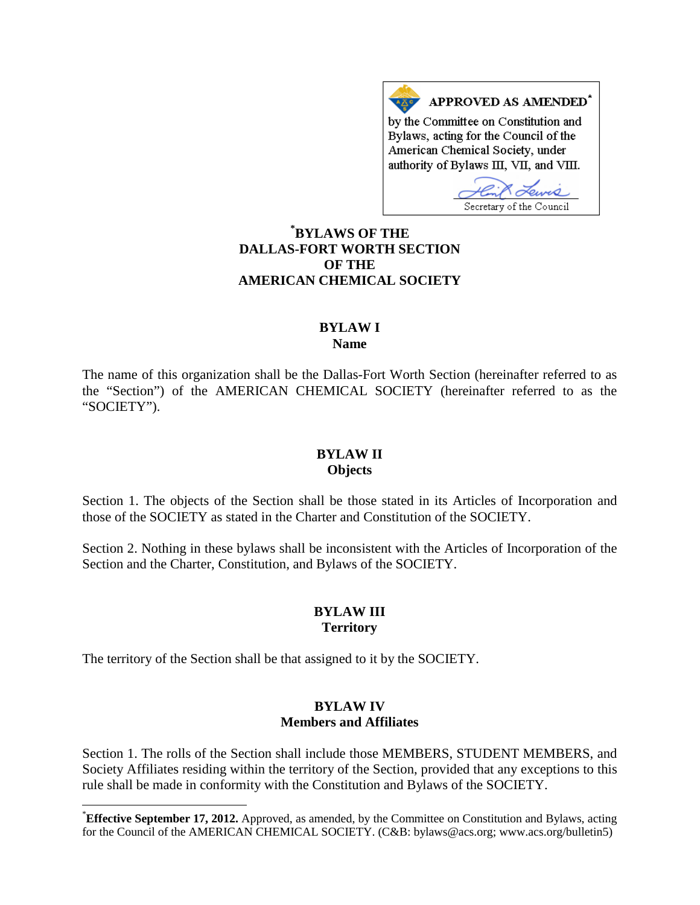APPROVED AS AMENDED\* by the Committee on Constitution and Bylaws, acting for the Council of the American Chemical Society, under authority of Bylaws III, VII, and VIII.

Secretary of the Council

# **[\\*](#page-0-0) BYLAWS OF THE DALLAS-FORT WORTH SECTION OF THE AMERICAN CHEMICAL SOCIETY**

## **BYLAW I Name**

The name of this organization shall be the Dallas-Fort Worth Section (hereinafter referred to as the "Section") of the AMERICAN CHEMICAL SOCIETY (hereinafter referred to as the "SOCIETY").

### **BYLAW II Objects**

Section 1. The objects of the Section shall be those stated in its Articles of Incorporation and those of the SOCIETY as stated in the Charter and Constitution of the SOCIETY.

Section 2. Nothing in these bylaws shall be inconsistent with the Articles of Incorporation of the Section and the Charter, Constitution, and Bylaws of the SOCIETY.

## **BYLAW III Territory**

The territory of the Section shall be that assigned to it by the SOCIETY.

## **BYLAW IV Members and Affiliates**

Section 1. The rolls of the Section shall include those MEMBERS, STUDENT MEMBERS, and Society Affiliates residing within the territory of the Section, provided that any exceptions to this rule shall be made in conformity with the Constitution and Bylaws of the SOCIETY.

<span id="page-0-0"></span> <sup>\*</sup> **Effective September 17, 2012.** Approved, as amended, by the Committee on Constitution and Bylaws, acting for the Council of the AMERICAN CHEMICAL SOCIETY. (C&B: bylaws@acs.org; www.acs.org/bulletin5)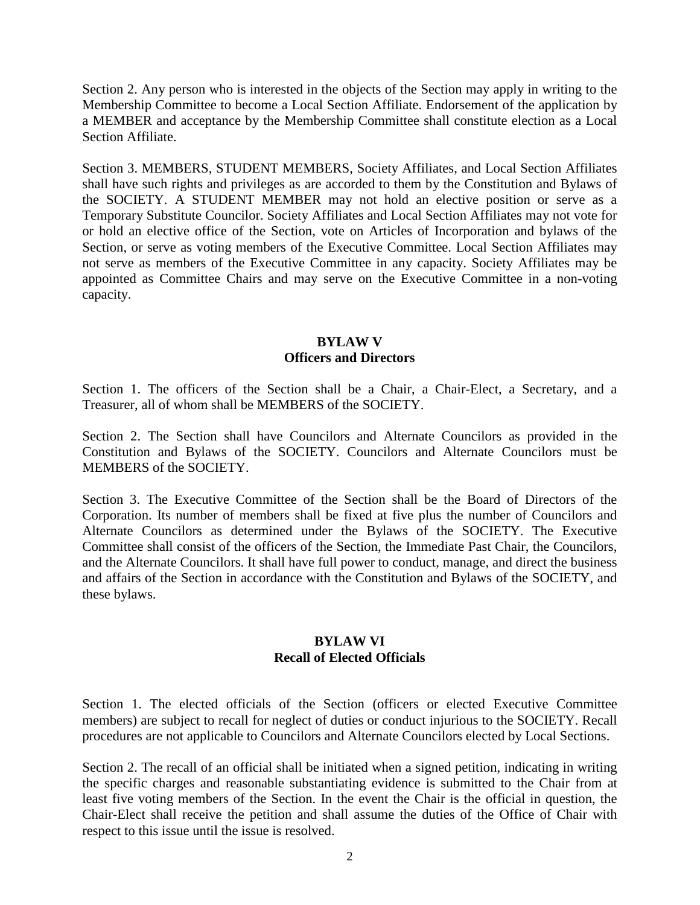Section 2. Any person who is interested in the objects of the Section may apply in writing to the Membership Committee to become a Local Section Affiliate. Endorsement of the application by a MEMBER and acceptance by the Membership Committee shall constitute election as a Local Section Affiliate.

Section 3. MEMBERS, STUDENT MEMBERS, Society Affiliates, and Local Section Affiliates shall have such rights and privileges as are accorded to them by the Constitution and Bylaws of the SOCIETY. A STUDENT MEMBER may not hold an elective position or serve as a Temporary Substitute Councilor. Society Affiliates and Local Section Affiliates may not vote for or hold an elective office of the Section, vote on Articles of Incorporation and bylaws of the Section, or serve as voting members of the Executive Committee. Local Section Affiliates may not serve as members of the Executive Committee in any capacity. Society Affiliates may be appointed as Committee Chairs and may serve on the Executive Committee in a non-voting capacity.

# **BYLAW V Officers and Directors**

Section 1. The officers of the Section shall be a Chair, a Chair-Elect, a Secretary, and a Treasurer, all of whom shall be MEMBERS of the SOCIETY.

Section 2. The Section shall have Councilors and Alternate Councilors as provided in the Constitution and Bylaws of the SOCIETY. Councilors and Alternate Councilors must be MEMBERS of the SOCIETY.

Section 3. The Executive Committee of the Section shall be the Board of Directors of the Corporation. Its number of members shall be fixed at five plus the number of Councilors and Alternate Councilors as determined under the Bylaws of the SOCIETY. The Executive Committee shall consist of the officers of the Section, the Immediate Past Chair, the Councilors, and the Alternate Councilors. It shall have full power to conduct, manage, and direct the business and affairs of the Section in accordance with the Constitution and Bylaws of the SOCIETY, and these bylaws.

## **BYLAW VI Recall of Elected Officials**

Section 1. The elected officials of the Section (officers or elected Executive Committee members) are subject to recall for neglect of duties or conduct injurious to the SOCIETY. Recall procedures are not applicable to Councilors and Alternate Councilors elected by Local Sections.

Section 2. The recall of an official shall be initiated when a signed petition, indicating in writing the specific charges and reasonable substantiating evidence is submitted to the Chair from at least five voting members of the Section. In the event the Chair is the official in question, the Chair-Elect shall receive the petition and shall assume the duties of the Office of Chair with respect to this issue until the issue is resolved.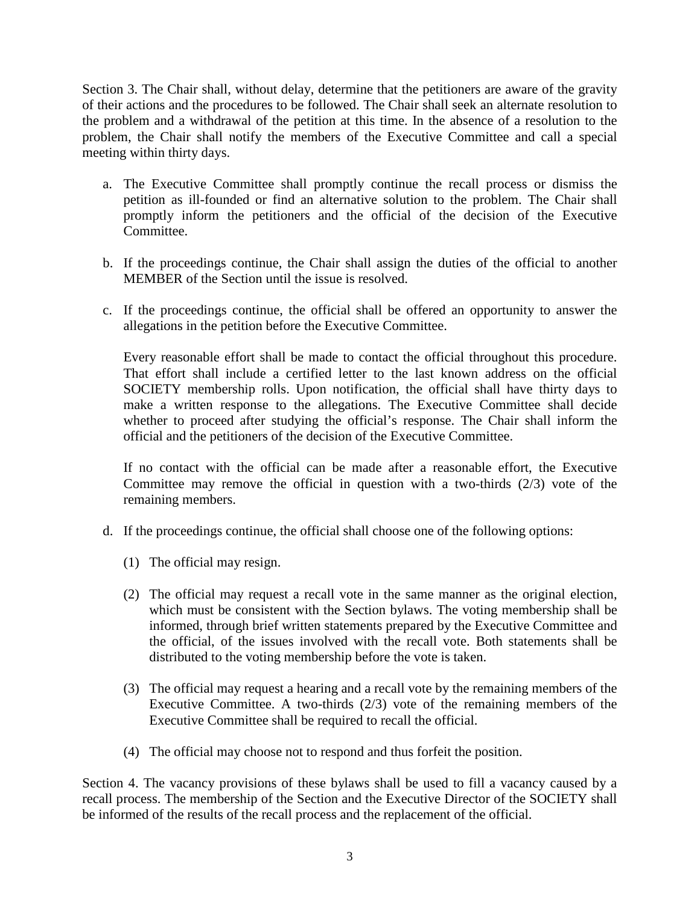Section 3. The Chair shall, without delay, determine that the petitioners are aware of the gravity of their actions and the procedures to be followed. The Chair shall seek an alternate resolution to the problem and a withdrawal of the petition at this time. In the absence of a resolution to the problem, the Chair shall notify the members of the Executive Committee and call a special meeting within thirty days.

- a. The Executive Committee shall promptly continue the recall process or dismiss the petition as ill-founded or find an alternative solution to the problem. The Chair shall promptly inform the petitioners and the official of the decision of the Executive Committee.
- b. If the proceedings continue, the Chair shall assign the duties of the official to another MEMBER of the Section until the issue is resolved.
- c. If the proceedings continue, the official shall be offered an opportunity to answer the allegations in the petition before the Executive Committee.

Every reasonable effort shall be made to contact the official throughout this procedure. That effort shall include a certified letter to the last known address on the official SOCIETY membership rolls. Upon notification, the official shall have thirty days to make a written response to the allegations. The Executive Committee shall decide whether to proceed after studying the official's response. The Chair shall inform the official and the petitioners of the decision of the Executive Committee.

If no contact with the official can be made after a reasonable effort, the Executive Committee may remove the official in question with a two-thirds (2/3) vote of the remaining members.

- d. If the proceedings continue, the official shall choose one of the following options:
	- (1) The official may resign.
	- (2) The official may request a recall vote in the same manner as the original election, which must be consistent with the Section bylaws. The voting membership shall be informed, through brief written statements prepared by the Executive Committee and the official, of the issues involved with the recall vote. Both statements shall be distributed to the voting membership before the vote is taken.
	- (3) The official may request a hearing and a recall vote by the remaining members of the Executive Committee. A two-thirds (2/3) vote of the remaining members of the Executive Committee shall be required to recall the official.
	- (4) The official may choose not to respond and thus forfeit the position.

Section 4. The vacancy provisions of these bylaws shall be used to fill a vacancy caused by a recall process. The membership of the Section and the Executive Director of the SOCIETY shall be informed of the results of the recall process and the replacement of the official.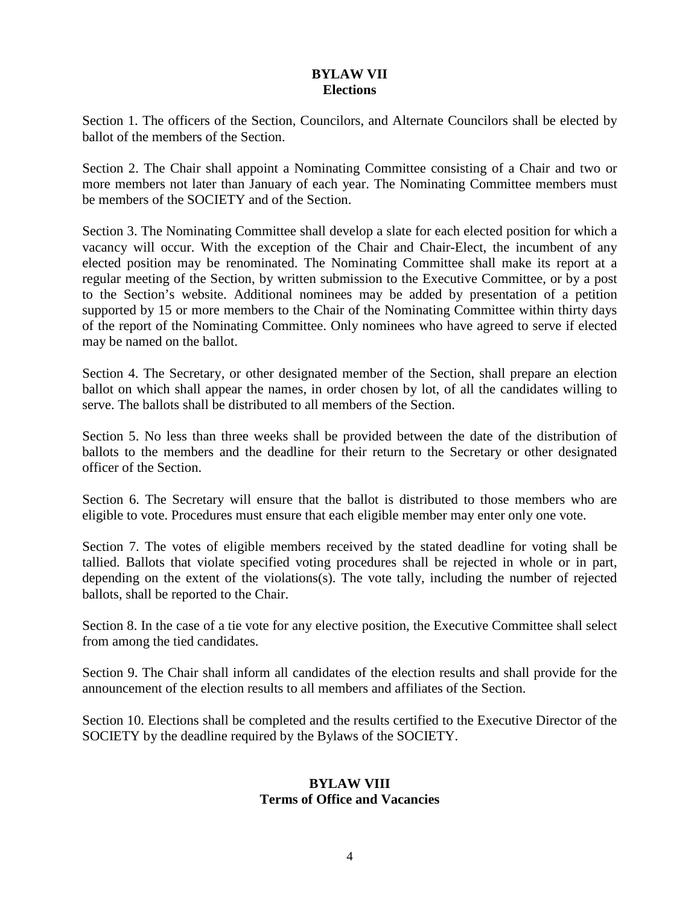## **BYLAW VII Elections**

Section 1. The officers of the Section, Councilors, and Alternate Councilors shall be elected by ballot of the members of the Section.

Section 2. The Chair shall appoint a Nominating Committee consisting of a Chair and two or more members not later than January of each year. The Nominating Committee members must be members of the SOCIETY and of the Section.

Section 3. The Nominating Committee shall develop a slate for each elected position for which a vacancy will occur. With the exception of the Chair and Chair-Elect, the incumbent of any elected position may be renominated. The Nominating Committee shall make its report at a regular meeting of the Section, by written submission to the Executive Committee, or by a post to the Section's website. Additional nominees may be added by presentation of a petition supported by 15 or more members to the Chair of the Nominating Committee within thirty days of the report of the Nominating Committee. Only nominees who have agreed to serve if elected may be named on the ballot.

Section 4. The Secretary, or other designated member of the Section, shall prepare an election ballot on which shall appear the names, in order chosen by lot, of all the candidates willing to serve. The ballots shall be distributed to all members of the Section.

Section 5. No less than three weeks shall be provided between the date of the distribution of ballots to the members and the deadline for their return to the Secretary or other designated officer of the Section.

Section 6. The Secretary will ensure that the ballot is distributed to those members who are eligible to vote. Procedures must ensure that each eligible member may enter only one vote.

Section 7. The votes of eligible members received by the stated deadline for voting shall be tallied. Ballots that violate specified voting procedures shall be rejected in whole or in part, depending on the extent of the violations(s). The vote tally, including the number of rejected ballots, shall be reported to the Chair.

Section 8. In the case of a tie vote for any elective position, the Executive Committee shall select from among the tied candidates.

Section 9. The Chair shall inform all candidates of the election results and shall provide for the announcement of the election results to all members and affiliates of the Section.

Section 10. Elections shall be completed and the results certified to the Executive Director of the SOCIETY by the deadline required by the Bylaws of the SOCIETY.

## **BYLAW VIII Terms of Office and Vacancies**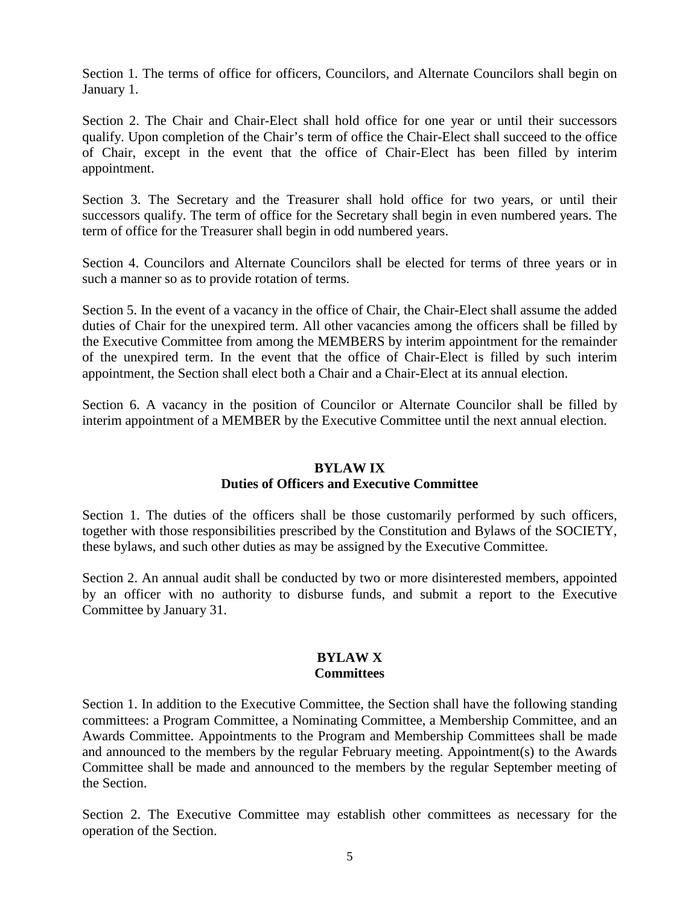Section 1. The terms of office for officers, Councilors, and Alternate Councilors shall begin on January 1.

Section 2. The Chair and Chair-Elect shall hold office for one year or until their successors qualify. Upon completion of the Chair's term of office the Chair-Elect shall succeed to the office of Chair, except in the event that the office of Chair-Elect has been filled by interim appointment.

Section 3. The Secretary and the Treasurer shall hold office for two years, or until their successors qualify. The term of office for the Secretary shall begin in even numbered years. The term of office for the Treasurer shall begin in odd numbered years.

Section 4. Councilors and Alternate Councilors shall be elected for terms of three years or in such a manner so as to provide rotation of terms.

Section 5. In the event of a vacancy in the office of Chair, the Chair-Elect shall assume the added duties of Chair for the unexpired term. All other vacancies among the officers shall be filled by the Executive Committee from among the MEMBERS by interim appointment for the remainder of the unexpired term. In the event that the office of Chair-Elect is filled by such interim appointment, the Section shall elect both a Chair and a Chair-Elect at its annual election.

Section 6. A vacancy in the position of Councilor or Alternate Councilor shall be filled by interim appointment of a MEMBER by the Executive Committee until the next annual election.

# **BYLAW IX**

# **Duties of Officers and Executive Committee**

Section 1. The duties of the officers shall be those customarily performed by such officers, together with those responsibilities prescribed by the Constitution and Bylaws of the SOCIETY, these bylaws, and such other duties as may be assigned by the Executive Committee.

Section 2. An annual audit shall be conducted by two or more disinterested members, appointed by an officer with no authority to disburse funds, and submit a report to the Executive Committee by January 31.

#### **BYLAW X Committees**

Section 1. In addition to the Executive Committee, the Section shall have the following standing committees: a Program Committee, a Nominating Committee, a Membership Committee, and an Awards Committee. Appointments to the Program and Membership Committees shall be made and announced to the members by the regular February meeting. Appointment(s) to the Awards Committee shall be made and announced to the members by the regular September meeting of the Section.

Section 2. The Executive Committee may establish other committees as necessary for the operation of the Section.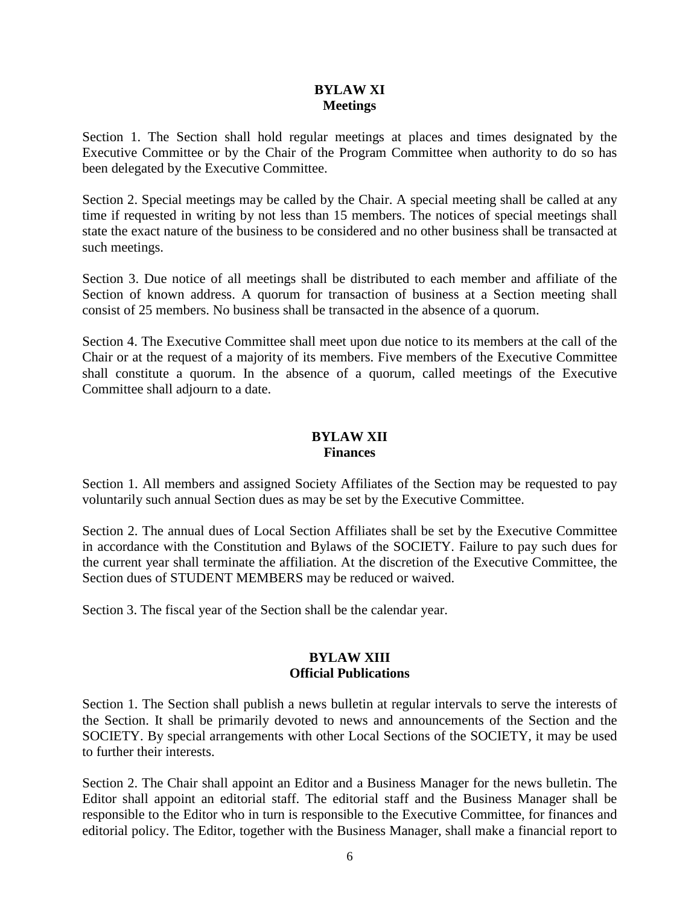## **BYLAW XI Meetings**

Section 1. The Section shall hold regular meetings at places and times designated by the Executive Committee or by the Chair of the Program Committee when authority to do so has been delegated by the Executive Committee.

Section 2. Special meetings may be called by the Chair. A special meeting shall be called at any time if requested in writing by not less than 15 members. The notices of special meetings shall state the exact nature of the business to be considered and no other business shall be transacted at such meetings.

Section 3. Due notice of all meetings shall be distributed to each member and affiliate of the Section of known address. A quorum for transaction of business at a Section meeting shall consist of 25 members. No business shall be transacted in the absence of a quorum.

Section 4. The Executive Committee shall meet upon due notice to its members at the call of the Chair or at the request of a majority of its members. Five members of the Executive Committee shall constitute a quorum. In the absence of a quorum, called meetings of the Executive Committee shall adjourn to a date.

## **BYLAW XII Finances**

Section 1. All members and assigned Society Affiliates of the Section may be requested to pay voluntarily such annual Section dues as may be set by the Executive Committee.

Section 2. The annual dues of Local Section Affiliates shall be set by the Executive Committee in accordance with the Constitution and Bylaws of the SOCIETY. Failure to pay such dues for the current year shall terminate the affiliation. At the discretion of the Executive Committee, the Section dues of STUDENT MEMBERS may be reduced or waived.

Section 3. The fiscal year of the Section shall be the calendar year.

# **BYLAW XIII Official Publications**

Section 1. The Section shall publish a news bulletin at regular intervals to serve the interests of the Section. It shall be primarily devoted to news and announcements of the Section and the SOCIETY. By special arrangements with other Local Sections of the SOCIETY, it may be used to further their interests.

Section 2. The Chair shall appoint an Editor and a Business Manager for the news bulletin. The Editor shall appoint an editorial staff. The editorial staff and the Business Manager shall be responsible to the Editor who in turn is responsible to the Executive Committee, for finances and editorial policy. The Editor, together with the Business Manager, shall make a financial report to